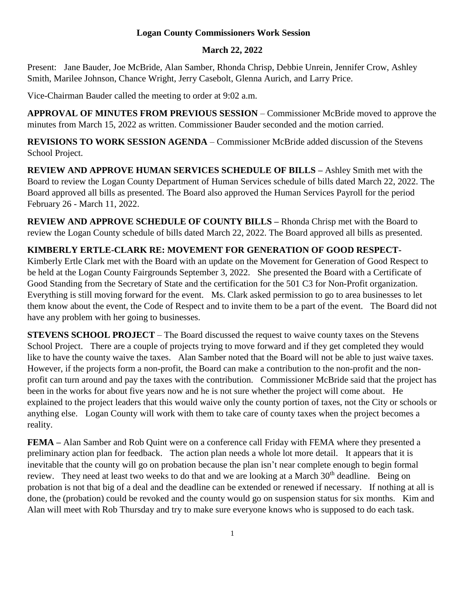## **Logan County Commissioners Work Session**

## **March 22, 2022**

Present: Jane Bauder, Joe McBride, Alan Samber, Rhonda Chrisp, Debbie Unrein, Jennifer Crow, Ashley Smith, Marilee Johnson, Chance Wright, Jerry Casebolt, Glenna Aurich, and Larry Price.

Vice-Chairman Bauder called the meeting to order at 9:02 a.m.

**APPROVAL OF MINUTES FROM PREVIOUS SESSION** – Commissioner McBride moved to approve the minutes from March 15, 2022 as written. Commissioner Bauder seconded and the motion carried.

**REVISIONS TO WORK SESSION AGENDA** – Commissioner McBride added discussion of the Stevens School Project.

**REVIEW AND APPROVE HUMAN SERVICES SCHEDULE OF BILLS –** Ashley Smith met with the Board to review the Logan County Department of Human Services schedule of bills dated March 22, 2022. The Board approved all bills as presented. The Board also approved the Human Services Payroll for the period February 26 - March 11, 2022.

**REVIEW AND APPROVE SCHEDULE OF COUNTY BILLS –** Rhonda Chrisp met with the Board to review the Logan County schedule of bills dated March 22, 2022. The Board approved all bills as presented.

## **KIMBERLY ERTLE-CLARK RE: MOVEMENT FOR GENERATION OF GOOD RESPECT-**

Kimberly Ertle Clark met with the Board with an update on the Movement for Generation of Good Respect to be held at the Logan County Fairgrounds September 3, 2022. She presented the Board with a Certificate of Good Standing from the Secretary of State and the certification for the 501 C3 for Non-Profit organization. Everything is still moving forward for the event. Ms. Clark asked permission to go to area businesses to let them know about the event, the Code of Respect and to invite them to be a part of the event. The Board did not have any problem with her going to businesses.

**STEVENS SCHOOL PROJECT** – The Board discussed the request to waive county taxes on the Stevens School Project. There are a couple of projects trying to move forward and if they get completed they would like to have the county waive the taxes. Alan Samber noted that the Board will not be able to just waive taxes. However, if the projects form a non-profit, the Board can make a contribution to the non-profit and the nonprofit can turn around and pay the taxes with the contribution. Commissioner McBride said that the project has been in the works for about five years now and he is not sure whether the project will come about. He explained to the project leaders that this would waive only the county portion of taxes, not the City or schools or anything else. Logan County will work with them to take care of county taxes when the project becomes a reality.

**FEMA** – Alan Samber and Rob Quint were on a conference call Friday with FEMA where they presented a preliminary action plan for feedback. The action plan needs a whole lot more detail. It appears that it is inevitable that the county will go on probation because the plan isn't near complete enough to begin formal review. They need at least two weeks to do that and we are looking at a March 30<sup>th</sup> deadline. Being on probation is not that big of a deal and the deadline can be extended or renewed if necessary. If nothing at all is done, the (probation) could be revoked and the county would go on suspension status for six months. Kim and Alan will meet with Rob Thursday and try to make sure everyone knows who is supposed to do each task.